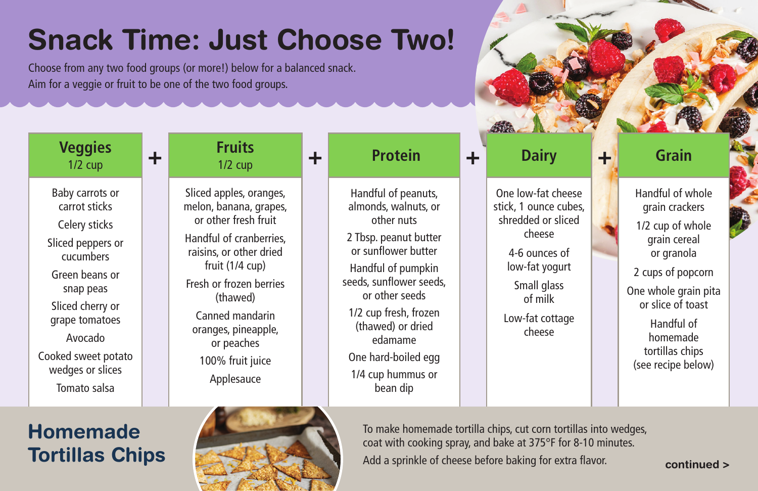# Snack Time: Just Choose Two!

Choose from any two food groups (or more!) below for a balanced snack. Aim for a veggie or fruit to be one of the two food groups.

|                                                                                                                                                                                                                                |            |                                                                                                                                                                                                                                                                                               |        |                                                                                                                                                                                                                                                                                               |   | <b>STEEL ALL AVE</b>                                                                                                                                                  |        |                                                                                                                                                                                                                           |
|--------------------------------------------------------------------------------------------------------------------------------------------------------------------------------------------------------------------------------|------------|-----------------------------------------------------------------------------------------------------------------------------------------------------------------------------------------------------------------------------------------------------------------------------------------------|--------|-----------------------------------------------------------------------------------------------------------------------------------------------------------------------------------------------------------------------------------------------------------------------------------------------|---|-----------------------------------------------------------------------------------------------------------------------------------------------------------------------|--------|---------------------------------------------------------------------------------------------------------------------------------------------------------------------------------------------------------------------------|
| <b>Veggies</b><br>$1/2$ cup                                                                                                                                                                                                    | $\ddagger$ | <b>Fruits</b><br>$1/2$ cup                                                                                                                                                                                                                                                                    | $\div$ | <b>Protein</b>                                                                                                                                                                                                                                                                                | ╋ | <b>Dairy</b>                                                                                                                                                          | $\div$ | <b>Grain</b>                                                                                                                                                                                                              |
| Baby carrots or<br>carrot sticks<br>Celery sticks<br>Sliced peppers or<br>cucumbers<br>Green beans or<br>snap peas<br>Sliced cherry or<br>grape tomatoes<br>Avocado<br>Cooked sweet potato<br>wedges or slices<br>Tomato salsa |            | Sliced apples, oranges,<br>melon, banana, grapes,<br>or other fresh fruit<br>Handful of cranberries,<br>raisins, or other dried<br>fruit $(1/4 \text{ cup})$<br>Fresh or frozen berries<br>(thawed)<br>Canned mandarin<br>oranges, pineapple,<br>or peaches<br>100% fruit juice<br>Applesauce |        | Handful of peanuts,<br>almonds, walnuts, or<br>other nuts<br>2 Tbsp. peanut butter<br>or sunflower butter<br>Handful of pumpkin<br>seeds, sunflower seeds,<br>or other seeds<br>1/2 cup fresh, frozen<br>(thawed) or dried<br>edamame<br>One hard-boiled egg<br>1/4 cup hummus or<br>bean dip |   | One low-fat cheese<br>stick, 1 ounce cubes,<br>shredded or sliced<br>cheese<br>4-6 ounces of<br>low-fat yogurt<br>Small glass<br>of milk<br>Low-fat cottage<br>cheese |        | Handful of whole<br>grain crackers<br>1/2 cup of whole<br>grain cereal<br>or granola<br>2 cups of popcorn<br>One whole grain pita<br>or slice of toast<br>Handful of<br>homemade<br>tortillas chips<br>(see recipe below) |

## Homemade Tortillas Chips



To make homemade tortilla chips, cut corn tortillas into wedges, coat with cooking spray, and bake at 375°F for 8-10 minutes.

Add a sprinkle of cheese before baking for extra flavor. continued >